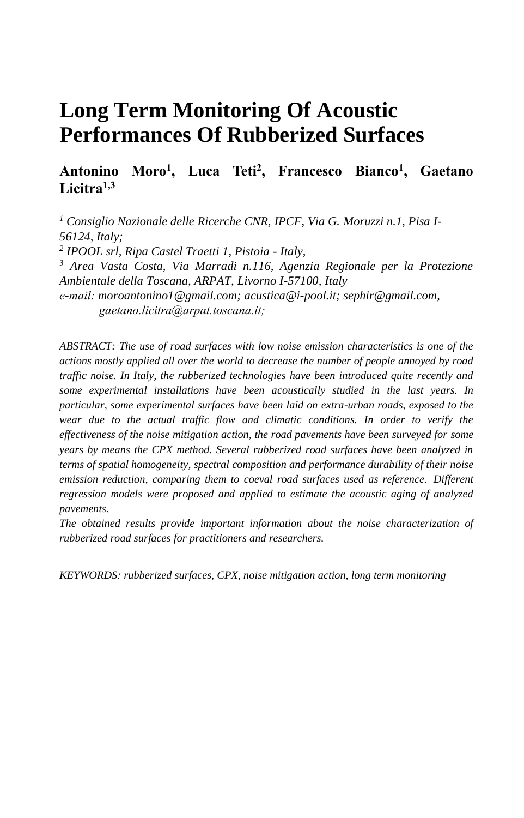# **Long Term Monitoring Of Acoustic Performances Of Rubberized Surfaces**

# **Antonino Moro<sup>1</sup> , Luca Teti<sup>2</sup> , Francesco Bianco<sup>1</sup> , Gaetano Licitra1,3**

*<sup>1</sup> Consiglio Nazionale delle Ricerche CNR, IPCF, Via G. Moruzzi n.1, Pisa I-56124, Italy; 2 IPOOL srl, Ripa Castel Traetti 1, Pistoia - Italy,* <sup>3</sup> *Area Vasta Costa, Via Marradi n.116, Agenzia Regionale per la Protezione Ambientale della Toscana, ARPAT, Livorno I-57100, Italy e-mail: moroantonino1@gmail.com; acustica@i-pool.it; sephir@gmail.com, gaetano.licitra@arpat.toscana.it;*

*ABSTRACT: The use of road surfaces with low noise emission characteristics is one of the actions mostly applied all over the world to decrease the number of people annoyed by road traffic noise. In Italy, the rubberized technologies have been introduced quite recently and some experimental installations have been acoustically studied in the last years. In particular, some experimental surfaces have been laid on extra-urban roads, exposed to the wear due to the actual traffic flow and climatic conditions. In order to verify the effectiveness of the noise mitigation action, the road pavements have been surveyed for some years by means the CPX method. Several rubberized road surfaces have been analyzed in terms of spatial homogeneity, spectral composition and performance durability of their noise emission reduction, comparing them to coeval road surfaces used as reference. Different regression models were proposed and applied to estimate the acoustic aging of analyzed pavements.*

*The obtained results provide important information about the noise characterization of rubberized road surfaces for practitioners and researchers.*

*KEYWORDS: rubberized surfaces, CPX, noise mitigation action, long term monitoring*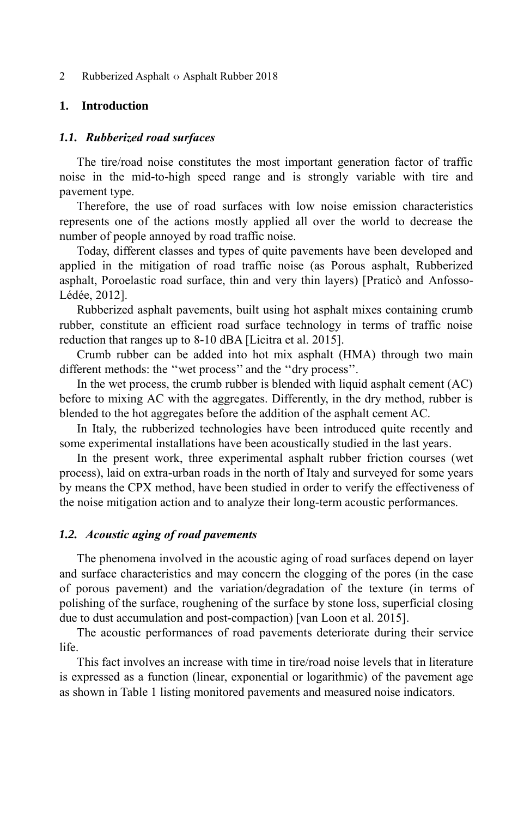2 Rubberized Asphalt  $\Diamond$  Asphalt Rubber 2018

# **1. Introduction**

# *1.1. Rubberized road surfaces*

The tire/road noise constitutes the most important generation factor of traffic noise in the mid-to-high speed range and is strongly variable with tire and pavement type.

Therefore, the use of road surfaces with low noise emission characteristics represents one of the actions mostly applied all over the world to decrease the number of people annoyed by road traffic noise.

Today, different classes and types of quite pavements have been developed and applied in the mitigation of road traffic noise (as Porous asphalt, Rubberized asphalt, Poroelastic road surface, thin and very thin layers) [Praticò and Anfosso-Lédée, 2012].

Rubberized asphalt pavements, built using hot asphalt mixes containing crumb rubber, constitute an efficient road surface technology in terms of traffic noise reduction that ranges up to 8-10 dBA [Licitra et al. 2015].

Crumb rubber can be added into hot mix asphalt (HMA) through two main different methods: the ''wet process'' and the ''dry process''.

In the wet process, the crumb rubber is blended with liquid asphalt cement (AC) before to mixing AC with the aggregates. Differently, in the dry method, rubber is blended to the hot aggregates before the addition of the asphalt cement AC.

In Italy, the rubberized technologies have been introduced quite recently and some experimental installations have been acoustically studied in the last years.

In the present work, three experimental asphalt rubber friction courses (wet process), laid on extra-urban roads in the north of Italy and surveyed for some years by means the CPX method, have been studied in order to verify the effectiveness of the noise mitigation action and to analyze their long-term acoustic performances.

#### *1.2. Acoustic aging of road pavements*

The phenomena involved in the acoustic aging of road surfaces depend on layer and surface characteristics and may concern the clogging of the pores (in the case of porous pavement) and the variation/degradation of the texture (in terms of polishing of the surface, roughening of the surface by stone loss, superficial closing due to dust accumulation and post-compaction) [van Loon et al. 2015].

The acoustic performances of road pavements deteriorate during their service life.

This fact involves an increase with time in tire/road noise levels that in literature is expressed as a function (linear, exponential or logarithmic) of the pavement age as shown in Table 1 listing monitored pavements and measured noise indicators.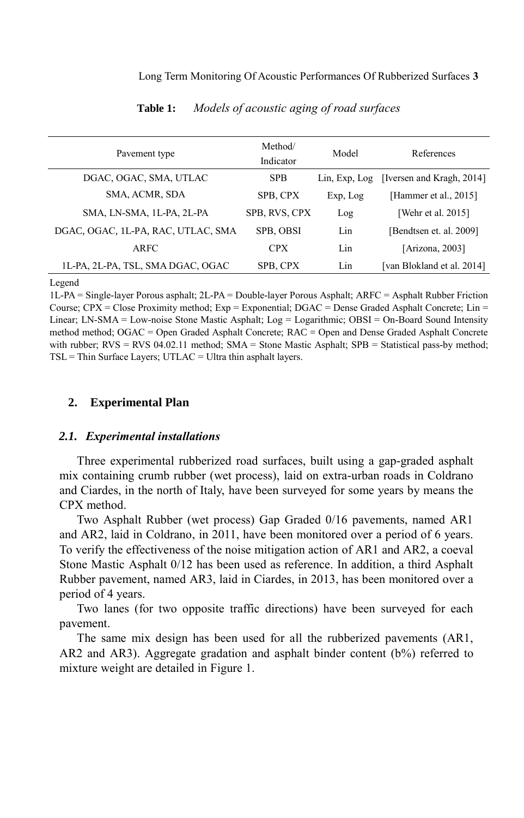| Pavement type                      | Method/<br>Indicator | Model         | References                 |
|------------------------------------|----------------------|---------------|----------------------------|
| DGAC, OGAC, SMA, UTLAC             | <b>SPB</b>           | Lin, Exp, Log | [Iversen and Kragh, 2014]  |
| SMA, ACMR, SDA                     | SPB. CPX             | Exp, Log      | [Hammer et al., 2015]      |
| SMA, LN-SMA, 1L-PA, 2L-PA          | SPB, RVS, CPX        | Log           | [Wehr et al. 2015]         |
| DGAC, OGAC, 1L-PA, RAC, UTLAC, SMA | SPB, OBSI            | Lin           | [Bendtsen et. al. 2009]    |
| ARFC                               | <b>CPX</b>           | Lin           | [Arizona, 2003]            |
| 1L-PA, 2L-PA, TSL, SMA DGAC, OGAC  | SPB, CPX             | Lin           | [van Blokland et al. 2014] |

**Table 1:** *Models of acoustic aging of road surfaces*

Legend

1L-PA = Single-layer Porous asphalt; 2L-PA = Double-layer Porous Asphalt; ARFC = Asphalt Rubber Friction Course;  $CPX = Close$  Proximity method;  $Exp = Exponential$ ;  $DGAC = Dense$  Graded Asphalt Concrete; Lin = Linear; LN-SMA = Low-noise Stone Mastic Asphalt; Log = Logarithmic; OBSI = On-Board Sound Intensity method method; OGAC = Open Graded Asphalt Concrete; RAC = Open and Dense Graded Asphalt Concrete with rubber;  $RVS = RVS 04.02.11$  method;  $SMA =$  Stone Mastic Asphalt;  $SPB =$  Statistical pass-by method;  $TSL =$ Thin Surface Layers; UTLAC = Ultra thin asphalt layers.

# **2. Experimental Plan**

#### *2.1. Experimental installations*

Three experimental rubberized road surfaces, built using a gap-graded asphalt mix containing crumb rubber (wet process), laid on extra-urban roads in Coldrano and Ciardes, in the north of Italy, have been surveyed for some years by means the CPX method.

Two Asphalt Rubber (wet process) Gap Graded 0/16 pavements, named AR1 and AR2, laid in Coldrano, in 2011, have been monitored over a period of 6 years. To verify the effectiveness of the noise mitigation action of AR1 and AR2, a coeval Stone Mastic Asphalt 0/12 has been used as reference. In addition, a third Asphalt Rubber pavement, named AR3, laid in Ciardes, in 2013, has been monitored over a period of 4 years.

Two lanes (for two opposite traffic directions) have been surveyed for each pavement.

The same mix design has been used for all the rubberized pavements (AR1, AR2 and AR3). Aggregate gradation and asphalt binder content (b%) referred to mixture weight are detailed in Figure 1.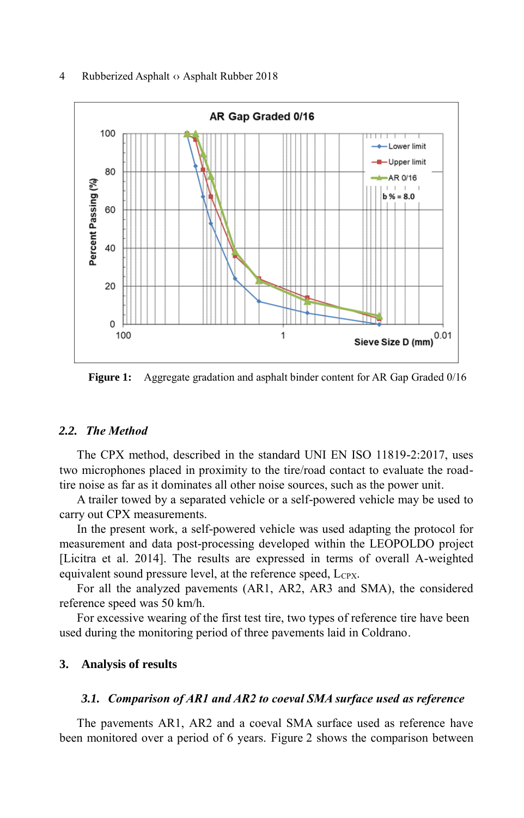#### 4 Rubberized Asphalt  $\circ$  Asphalt Rubber 2018



**Figure 1:** Aggregate gradation and asphalt binder content for AR Gap Graded 0/16

#### *2.2. The Method*

The CPX method, described in the standard UNI EN ISO 11819-2:2017, uses two microphones placed in proximity to the tire/road contact to evaluate the roadtire noise as far as it dominates all other noise sources, such as the power unit.

A trailer towed by a separated vehicle or a self-powered vehicle may be used to carry out CPX measurements.

In the present work, a self-powered vehicle was used adapting the protocol for measurement and data post-processing developed within the LEOPOLDO project [Licitra et al. 2014]. The results are expressed in terms of overall A-weighted equivalent sound pressure level, at the reference speed,  $L_{CPX}$ .

For all the analyzed pavements (AR1, AR2, AR3 and SMA), the considered reference speed was 50 km/h.

For excessive wearing of the first test tire, two types of reference tire have been used during the monitoring period of three pavements laid in Coldrano.

# **3. Analysis of results**

#### *3.1. Comparison of AR1 and AR2 to coeval SMA surface used as reference*

The pavements AR1, AR2 and a coeval SMA surface used as reference have been monitored over a period of 6 years. Figure 2 shows the comparison between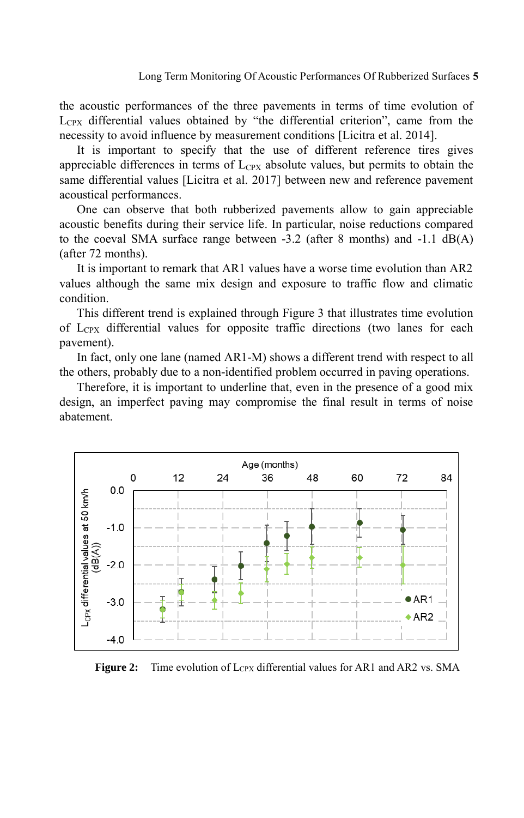Long Term Monitoring Of Acoustic Performances Of Rubberized Surfaces **5**

the acoustic performances of the three pavements in terms of time evolution of  $L<sub>CPX</sub>$  differential values obtained by "the differential criterion", came from the necessity to avoid influence by measurement conditions [Licitra et al. 2014].

It is important to specify that the use of different reference tires gives appreciable differences in terms of  $L_{Cpx}$  absolute values, but permits to obtain the same differential values [Licitra et al. 2017] between new and reference pavement acoustical performances.

One can observe that both rubberized pavements allow to gain appreciable acoustic benefits during their service life. In particular, noise reductions compared to the coeval SMA surface range between -3.2 (after 8 months) and -1.1 dB(A) (after 72 months).

It is important to remark that AR1 values have a worse time evolution than AR2 values although the same mix design and exposure to traffic flow and climatic condition.

This different trend is explained through Figure 3 that illustrates time evolution of  $L_{CPX}$  differential values for opposite traffic directions (two lanes for each pavement).

In fact, only one lane (named AR1-M) shows a different trend with respect to all the others, probably due to a non-identified problem occurred in paving operations.

Therefore, it is important to underline that, even in the presence of a good mix design, an imperfect paving may compromise the final result in terms of noise abatement.



**Figure 2:** Time evolution of Lcpx differential values for AR1 and AR2 vs. SMA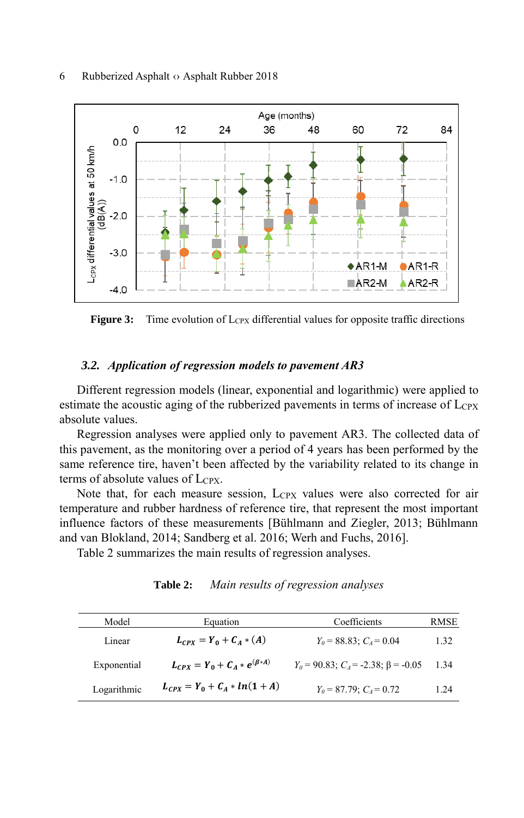

**Figure 3:** Time evolution of Lcpx differential values for opposite traffic directions

### *3.2. Application of regression models to pavement AR3*

Different regression models (linear, exponential and logarithmic) were applied to estimate the acoustic aging of the rubberized pavements in terms of increase of  $L_{CPX}$ absolute values.

Regression analyses were applied only to pavement AR3. The collected data of this pavement, as the monitoring over a period of 4 years has been performed by the same reference tire, haven't been affected by the variability related to its change in terms of absolute values of  $L_{CPX}$ .

Note that, for each measure session,  $L_{CPX}$  values were also corrected for air temperature and rubber hardness of reference tire, that represent the most important influence factors of these measurements [Bühlmann and Ziegler, 2013; Bühlmann and van Blokland, 2014; Sandberg et al. 2016; Werh and Fuchs, 2016].

Table 2 summarizes the main results of regression analyses.

| Model       | Equation                                | Coefficients                                    | <b>RMSE</b> |
|-------------|-----------------------------------------|-------------------------------------------------|-------------|
| Linear      | $L_{CPY} = Y_0 + C_4 * (A)$             | $Y_0 = 88.83$ ; $C_4 = 0.04$                    | 1.32        |
| Exponential | $L_{CPX} = Y_0 + C_A * e^{(\beta * A)}$ | $Y_0 = 90.83$ ; $C_4 = -2.38$ ; $\beta = -0.05$ | 1.34        |
| Logarithmic | $L_{CPX} = Y_0 + C_A * ln(1 + A)$       | $Y_0 = 87.79$ ; $C_4 = 0.72$                    | 1.24        |

**Table 2:** *Main results of regression analyses*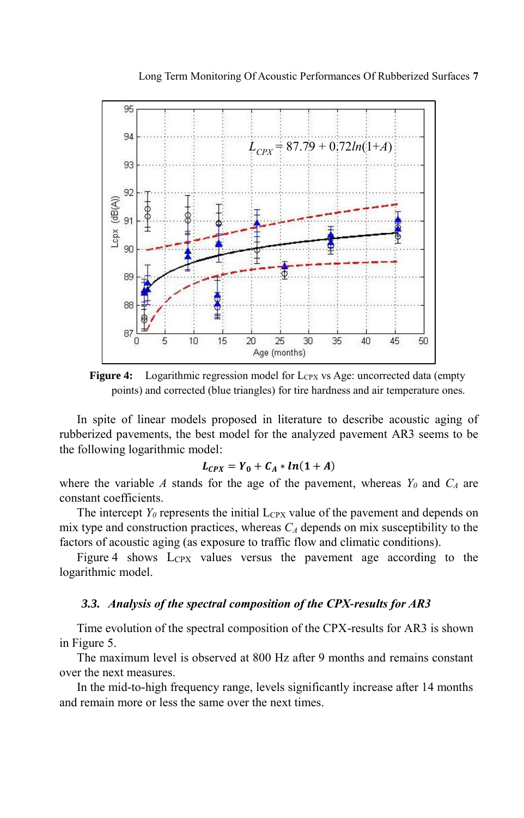

**Figure 4:** Logarithmic regression model for LCPX vs Age: uncorrected data (empty points) and corrected (blue triangles) for tire hardness and air temperature ones.

In spite of linear models proposed in literature to describe acoustic aging of rubberized pavements, the best model for the analyzed pavement AR3 seems to be the following logarithmic model:

$$
L_{CPX} = Y_0 + C_A * ln(1 + A)
$$

where the variable *A* stands for the age of the pavement, whereas  $Y_\theta$  and  $C_A$  are constant coefficients.

The intercept  $Y_0$  represents the initial  $L_{CPX}$  value of the pavement and depends on mix type and construction practices, whereas *C<sup>A</sup>* depends on mix susceptibility to the factors of acoustic aging (as exposure to traffic flow and climatic conditions).

Figure 4 shows LCPX values versus the pavement age according to the logarithmic model.

#### *3.3. Analysis of the spectral composition of the CPX-results for AR3*

Time evolution of the spectral composition of the CPX-results for AR3 is shown in Figure 5.

The maximum level is observed at 800 Hz after 9 months and remains constant over the next measures.

In the mid-to-high frequency range, levels significantly increase after 14 months and remain more or less the same over the next times.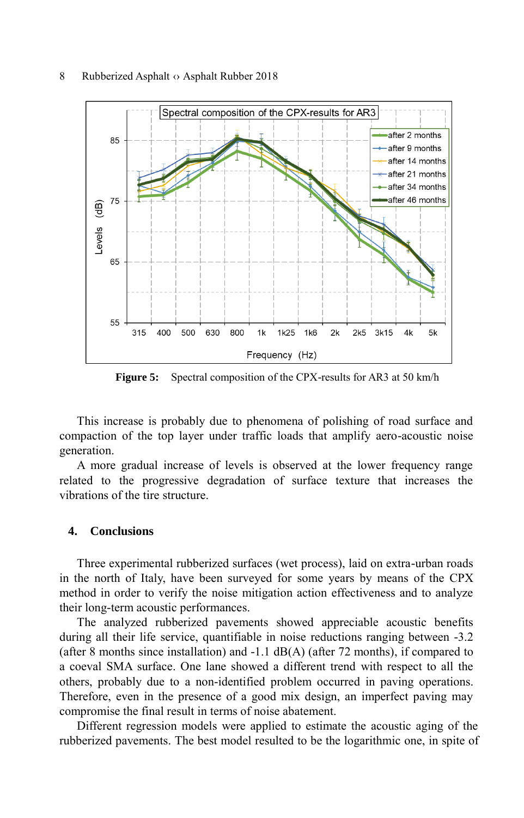

**Figure 5:** Spectral composition of the CPX-results for AR3 at 50 km/h

This increase is probably due to phenomena of polishing of road surface and compaction of the top layer under traffic loads that amplify aero-acoustic noise generation.

A more gradual increase of levels is observed at the lower frequency range related to the progressive degradation of surface texture that increases the vibrations of the tire structure.

#### **4. Conclusions**

Three experimental rubberized surfaces (wet process), laid on extra-urban roads in the north of Italy, have been surveyed for some years by means of the CPX method in order to verify the noise mitigation action effectiveness and to analyze their long-term acoustic performances.

The analyzed rubberized pavements showed appreciable acoustic benefits during all their life service, quantifiable in noise reductions ranging between -3.2 (after 8 months since installation) and  $-1.1$  dB(A) (after 72 months), if compared to a coeval SMA surface. One lane showed a different trend with respect to all the others, probably due to a non-identified problem occurred in paving operations. Therefore, even in the presence of a good mix design, an imperfect paving may compromise the final result in terms of noise abatement.

Different regression models were applied to estimate the acoustic aging of the rubberized pavements. The best model resulted to be the logarithmic one, in spite of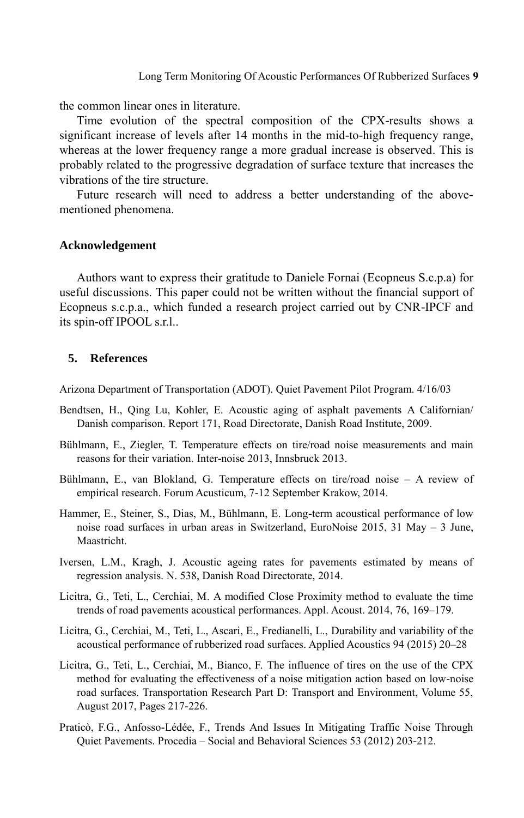the common linear ones in literature.

Time evolution of the spectral composition of the CPX-results shows a significant increase of levels after 14 months in the mid-to-high frequency range, whereas at the lower frequency range a more gradual increase is observed. This is probably related to the progressive degradation of surface texture that increases the vibrations of the tire structure.

Future research will need to address a better understanding of the abovementioned phenomena.

#### **Acknowledgement**

Authors want to express their gratitude to Daniele Fornai (Ecopneus S.c.p.a) for useful discussions. This paper could not be written without the financial support of Ecopneus s.c.p.a., which funded a research project carried out by CNR-IPCF and its spin-off IPOOL s.r.l..

# **5. References**

Arizona Department of Transportation (ADOT). Quiet Pavement Pilot Program. 4/16/03

- Bendtsen, H., Qing Lu, Kohler, E. Acoustic aging of asphalt pavements A Californian/ Danish comparison. Report 171, Road Directorate, Danish Road Institute, 2009.
- Bühlmann, E., Ziegler, T. Temperature effects on tire/road noise measurements and main reasons for their variation. Inter-noise 2013, Innsbruck 2013.
- Bühlmann, E., van Blokland, G. Temperature effects on tire/road noise A review of empirical research. Forum Acusticum, 7-12 September Krakow, 2014.
- Hammer, E., Steiner, S., Dias, M., Bühlmann, E. Long-term acoustical performance of low noise road surfaces in urban areas in Switzerland, EuroNoise 2015, 31 May – 3 June, Maastricht.
- Iversen, L.M., Kragh, J. Acoustic ageing rates for pavements estimated by means of regression analysis. N. 538, Danish Road Directorate, 2014.
- Licitra, G., Teti, L., Cerchiai, M. A modified Close Proximity method to evaluate the time trends of road pavements acoustical performances. Appl. Acoust. 2014, 76, 169–179.
- Licitra, G., Cerchiai, M., Teti, L., Ascari, E., Fredianelli, L., Durability and variability of the acoustical performance of rubberized road surfaces. Applied Acoustics 94 (2015) 20–28
- Licitra, G., Teti, L., Cerchiai, M., Bianco, F. The influence of tires on the use of the CPX method for evaluating the effectiveness of a noise mitigation action based on low-noise road surfaces. Transportation Research Part D: Transport and Environment, Volume 55, August 2017, Pages 217-226.
- Praticò, F.G., Anfosso-Lédée, F., Trends And Issues In Mitigating Traffic Noise Through Quiet Pavements. Procedia – Social and Behavioral Sciences 53 (2012) 203-212.